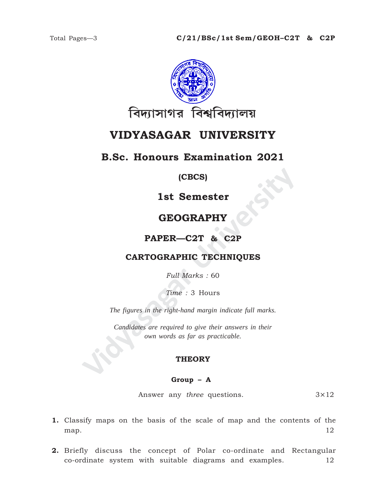

# **VIDYASAGAR UNIVERSITY**

## **B.Sc. Honours Examination 2021**

### **(CBCS)**

## **1st Semester**

## **GEOGRAPHY**

## **PAPER—C2T & C2P**

### **CARTOGRAPHIC TECHNIQUES**

*Full Marks :* 60

*Time :* 3 Hours

*The figures in the right-hand margin indicate full marks.*

**VIDEOGRAPHY<br>
SEOGRAPHY<br>
PAPER—C2T & C2P<br>
CARTOGRAPHIC TECHNIQUES**<br>
Full Marks : 60<br>
Time : 3 Hours<br>
The figures in the right-hand margin indicate full marks.<br>
Candidates are required to give their answers in their<br>
cover *Candidates are required to give their answers in their own words as far as practicable.*

#### **THEORY**

#### **Group – A**

Answer any *three* questions. 3×12

- **1.** Classify maps on the basis of the scale of map and the contents of the map.  $12$
- **2.** Briefly discuss the concept of Polar co-ordinate and Rectangular co-ordinate system with suitable diagrams and examples. 12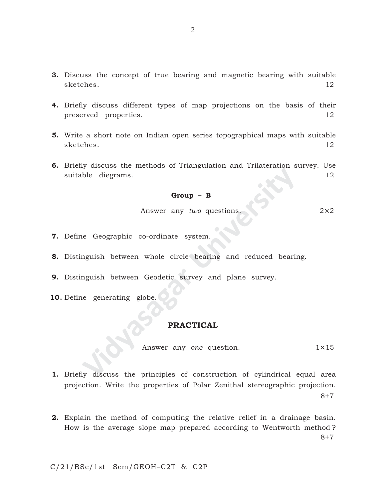- **3.** Discuss the concept of true bearing and magnetic bearing with suitable sketches. 12
- **4.** Briefly discuss different types of map projections on the basis of their preserved properties. 12
- **5.** Write a short note on Indian open series topographical maps with suitable sketches. 12
- **Group B**<br>
Answer any *two* questions.<br>
Re Geographic co-ordinate system.<br>
Inguish between whole circle bearing and reduced bearing<br>
Inguish between Geodetic survey and plane survey.<br>
REACTICAL<br>
Answer any *one* question **6.** Briefly discuss the methods of Triangulation and Trilateration survey. Use suitable diegrams. 12

#### **Group – B**

Answer any *two* questions. 2×2

- **7.** Define Geographic co-ordinate system.
- **8.** Distinguish between whole circle bearing and reduced bearing.
- **9.** Distinguish between Geodetic survey and plane survey.
- **10.** Define generating globe.

#### **PRACTICAL**

Answer any *one* question. 1×15

- **1.** Briefly discuss the principles of construction of cylindrical equal area projection. Write the properties of Polar Zenithal stereographic projection. 8+7
- **2.** Explain the method of computing the relative relief in a drainage basin. How is the average slope map prepared according to Wentworth method ? 8+7